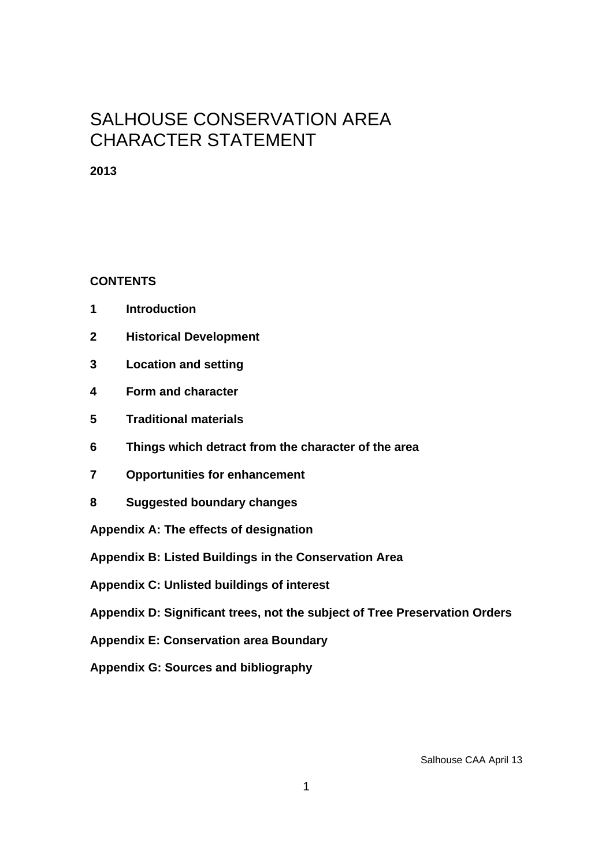# SALHOUSE CONSERVATION AREA CHARACTER STATEMENT

**2013** 

# **CONTENTS**

- **1 Introduction**
- **2 Historical Development**
- **3 Location and setting**
- **4 Form and character**
- **5 Traditional materials**
- **6 Things which detract from the character of the area**
- **7 Opportunities for enhancement**
- **8 Suggested boundary changes**

**Appendix A: The effects of designation** 

**Appendix B: Listed Buildings in the Conservation Area** 

**Appendix C: Unlisted buildings of interest** 

**Appendix D: Significant trees, not the subject of Tree Preservation Orders** 

**Appendix E: Conservation area Boundary** 

**Appendix G: Sources and bibliography**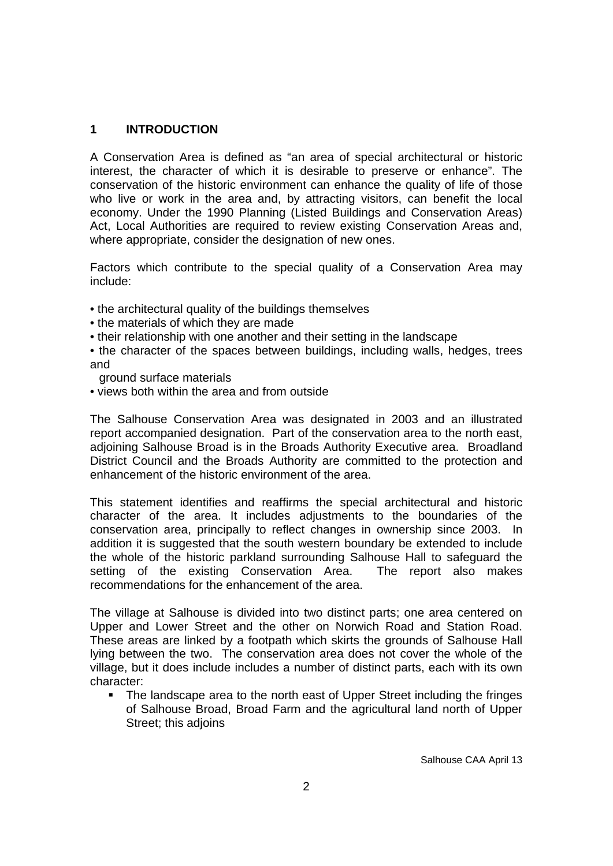## **1 INTRODUCTION**

A Conservation Area is defined as "an area of special architectural or historic interest, the character of which it is desirable to preserve or enhance". The conservation of the historic environment can enhance the quality of life of those who live or work in the area and, by attracting visitors, can benefit the local economy. Under the 1990 Planning (Listed Buildings and Conservation Areas) Act, Local Authorities are required to review existing Conservation Areas and, where appropriate, consider the designation of new ones.

Factors which contribute to the special quality of a Conservation Area may include:

- the architectural quality of the buildings themselves
- the materials of which they are made
- their relationship with one another and their setting in the landscape
- the character of the spaces between buildings, including walls, hedges, trees and
- ground surface materials
- views both within the area and from outside

The Salhouse Conservation Area was designated in 2003 and an illustrated report accompanied designation. Part of the conservation area to the north east, adjoining Salhouse Broad is in the Broads Authority Executive area. Broadland District Council and the Broads Authority are committed to the protection and enhancement of the historic environment of the area.

This statement identifies and reaffirms the special architectural and historic character of the area. It includes adjustments to the boundaries of the conservation area, principally to reflect changes in ownership since 2003. In addition it is suggested that the south western boundary be extended to include the whole of the historic parkland surrounding Salhouse Hall to safeguard the setting of the existing Conservation Area. The report also makes recommendations for the enhancement of the area.

The village at Salhouse is divided into two distinct parts; one area centered on Upper and Lower Street and the other on Norwich Road and Station Road. These areas are linked by a footpath which skirts the grounds of Salhouse Hall lying between the two. The conservation area does not cover the whole of the village, but it does include includes a number of distinct parts, each with its own character:

 The landscape area to the north east of Upper Street including the fringes of Salhouse Broad, Broad Farm and the agricultural land north of Upper Street; this adjoins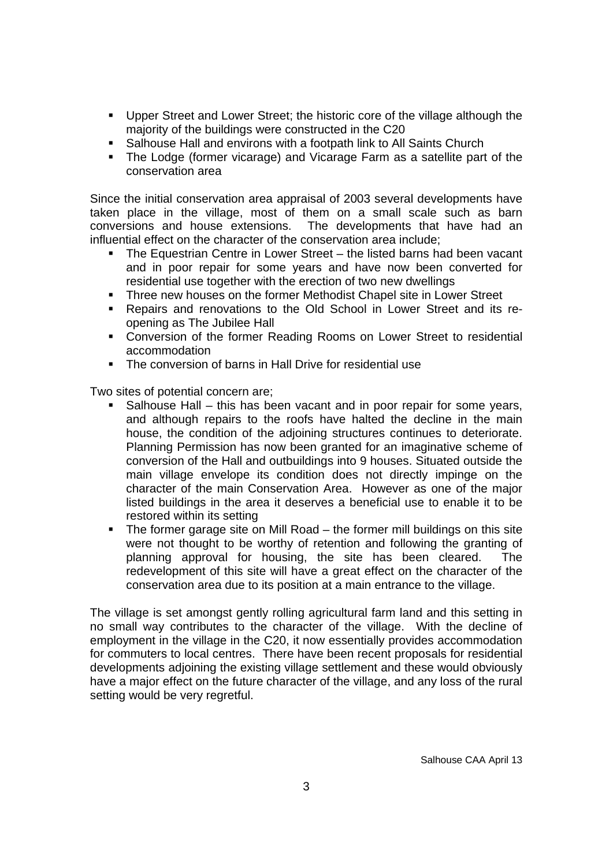- Upper Street and Lower Street; the historic core of the village although the majority of the buildings were constructed in the C20
- Salhouse Hall and environs with a footpath link to All Saints Church
- The Lodge (former vicarage) and Vicarage Farm as a satellite part of the conservation area

Since the initial conservation area appraisal of 2003 several developments have taken place in the village, most of them on a small scale such as barn conversions and house extensions. The developments that have had an influential effect on the character of the conservation area include;

- The Equestrian Centre in Lower Street the listed barns had been vacant and in poor repair for some years and have now been converted for residential use together with the erection of two new dwellings
- Three new houses on the former Methodist Chapel site in Lower Street
- Repairs and renovations to the Old School in Lower Street and its reopening as The Jubilee Hall
- Conversion of the former Reading Rooms on Lower Street to residential accommodation
- The conversion of barns in Hall Drive for residential use

Two sites of potential concern are;

- Salhouse Hall this has been vacant and in poor repair for some years, and although repairs to the roofs have halted the decline in the main house, the condition of the adjoining structures continues to deteriorate. Planning Permission has now been granted for an imaginative scheme of conversion of the Hall and outbuildings into 9 houses. Situated outside the main village envelope its condition does not directly impinge on the character of the main Conservation Area. However as one of the major listed buildings in the area it deserves a beneficial use to enable it to be restored within its setting
- The former garage site on Mill Road the former mill buildings on this site were not thought to be worthy of retention and following the granting of planning approval for housing, the site has been cleared. The redevelopment of this site will have a great effect on the character of the conservation area due to its position at a main entrance to the village.

The village is set amongst gently rolling agricultural farm land and this setting in no small way contributes to the character of the village. With the decline of employment in the village in the C20, it now essentially provides accommodation for commuters to local centres. There have been recent proposals for residential developments adjoining the existing village settlement and these would obviously have a major effect on the future character of the village, and any loss of the rural setting would be very regretful.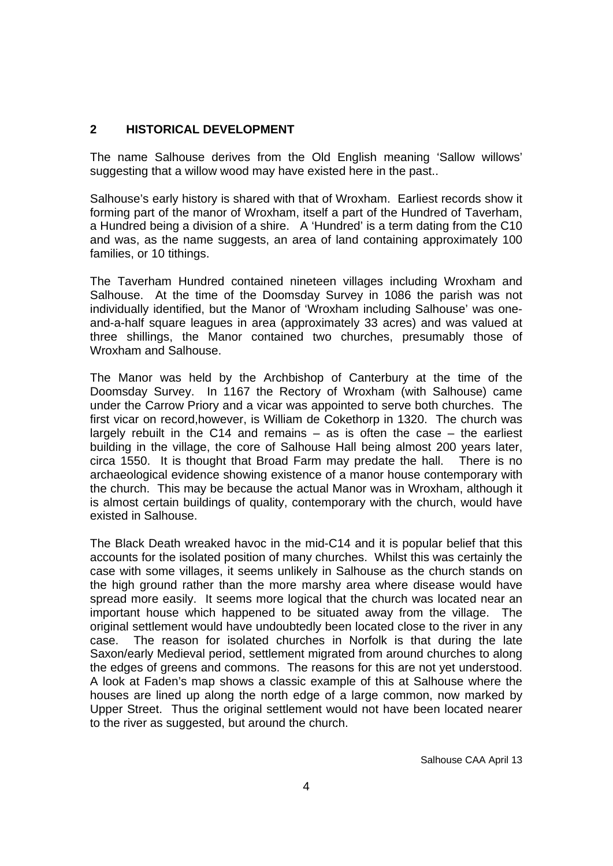# **2 HISTORICAL DEVELOPMENT**

The name Salhouse derives from the Old English meaning 'Sallow willows' suggesting that a willow wood may have existed here in the past..

Salhouse's early history is shared with that of Wroxham. Earliest records show it forming part of the manor of Wroxham, itself a part of the Hundred of Taverham, a Hundred being a division of a shire. A 'Hundred' is a term dating from the C10 and was, as the name suggests, an area of land containing approximately 100 families, or 10 tithings.

The Taverham Hundred contained nineteen villages including Wroxham and Salhouse. At the time of the Doomsday Survey in 1086 the parish was not individually identified, but the Manor of 'Wroxham including Salhouse' was oneand-a-half square leagues in area (approximately 33 acres) and was valued at three shillings, the Manor contained two churches, presumably those of Wroxham and Salhouse.

The Manor was held by the Archbishop of Canterbury at the time of the Doomsday Survey. In 1167 the Rectory of Wroxham (with Salhouse) came under the Carrow Priory and a vicar was appointed to serve both churches. The first vicar on record,however, is William de Cokethorp in 1320. The church was largely rebuilt in the C14 and remains  $-$  as is often the case  $-$  the earliest building in the village, the core of Salhouse Hall being almost 200 years later, circa 1550. It is thought that Broad Farm may predate the hall. There is no archaeological evidence showing existence of a manor house contemporary with the church. This may be because the actual Manor was in Wroxham, although it is almost certain buildings of quality, contemporary with the church, would have existed in Salhouse.

The Black Death wreaked havoc in the mid-C14 and it is popular belief that this accounts for the isolated position of many churches. Whilst this was certainly the case with some villages, it seems unlikely in Salhouse as the church stands on the high ground rather than the more marshy area where disease would have spread more easily. It seems more logical that the church was located near an important house which happened to be situated away from the village. The original settlement would have undoubtedly been located close to the river in any case. The reason for isolated churches in Norfolk is that during the late Saxon/early Medieval period, settlement migrated from around churches to along the edges of greens and commons. The reasons for this are not yet understood. A look at Faden's map shows a classic example of this at Salhouse where the houses are lined up along the north edge of a large common, now marked by Upper Street. Thus the original settlement would not have been located nearer to the river as suggested, but around the church.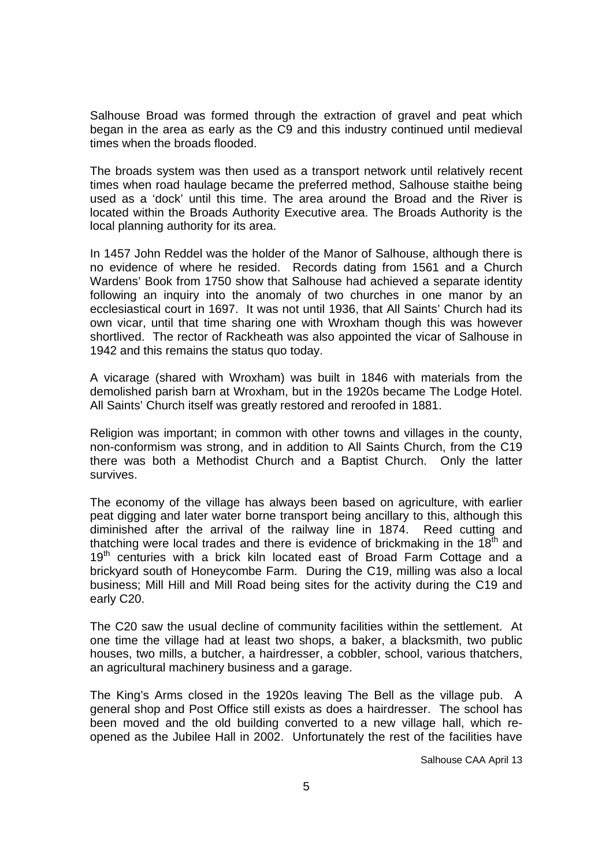Salhouse Broad was formed through the extraction of gravel and peat which began in the area as early as the C9 and this industry continued until medieval times when the broads flooded.

The broads system was then used as a transport network until relatively recent times when road haulage became the preferred method, Salhouse staithe being used as a 'dock' until this time. The area around the Broad and the River is located within the Broads Authority Executive area. The Broads Authority is the local planning authority for its area.

In 1457 John Reddel was the holder of the Manor of Salhouse, although there is no evidence of where he resided. Records dating from 1561 and a Church Wardens' Book from 1750 show that Salhouse had achieved a separate identity following an inquiry into the anomaly of two churches in one manor by an ecclesiastical court in 1697. It was not until 1936, that All Saints' Church had its own vicar, until that time sharing one with Wroxham though this was however shortlived. The rector of Rackheath was also appointed the vicar of Salhouse in 1942 and this remains the status quo today.

A vicarage (shared with Wroxham) was built in 1846 with materials from the demolished parish barn at Wroxham, but in the 1920s became The Lodge Hotel. All Saints' Church itself was greatly restored and reroofed in 1881.

Religion was important; in common with other towns and villages in the county, non-conformism was strong, and in addition to All Saints Church, from the C19 there was both a Methodist Church and a Baptist Church. Only the latter survives.

The economy of the village has always been based on agriculture, with earlier peat digging and later water borne transport being ancillary to this, although this diminished after the arrival of the railway line in 1874. Reed cutting and thatching were local trades and there is evidence of brickmaking in the  $18<sup>th</sup>$  and 19<sup>th</sup> centuries with a brick kiln located east of Broad Farm Cottage and a brickyard south of Honeycombe Farm. During the C19, milling was also a local business; Mill Hill and Mill Road being sites for the activity during the C19 and early C20.

The C20 saw the usual decline of community facilities within the settlement. At one time the village had at least two shops, a baker, a blacksmith, two public houses, two mills, a butcher, a hairdresser, a cobbler, school, various thatchers, an agricultural machinery business and a garage.

The King's Arms closed in the 1920s leaving The Bell as the village pub. A general shop and Post Office still exists as does a hairdresser. The school has been moved and the old building converted to a new village hall, which reopened as the Jubilee Hall in 2002. Unfortunately the rest of the facilities have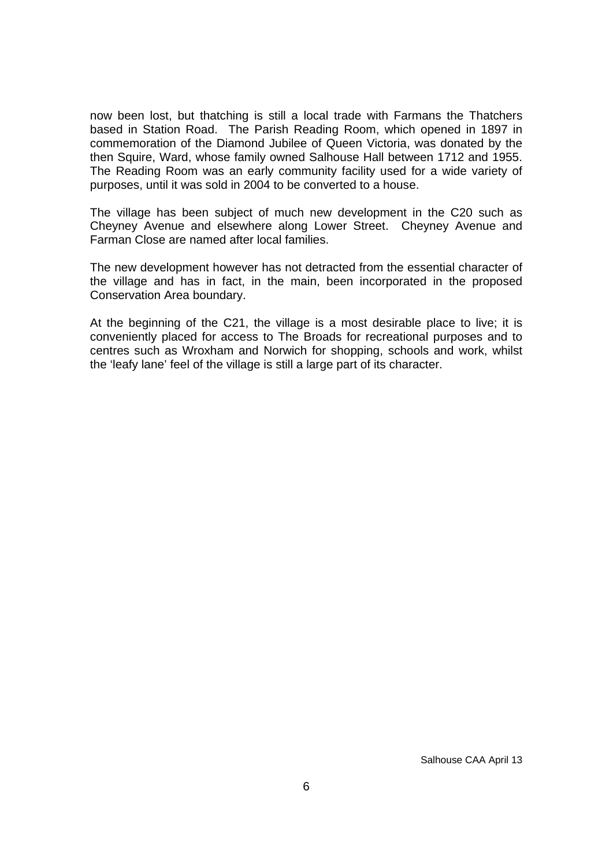now been lost, but thatching is still a local trade with Farmans the Thatchers based in Station Road. The Parish Reading Room, which opened in 1897 in commemoration of the Diamond Jubilee of Queen Victoria, was donated by the then Squire, Ward, whose family owned Salhouse Hall between 1712 and 1955. The Reading Room was an early community facility used for a wide variety of purposes, until it was sold in 2004 to be converted to a house.

The village has been subject of much new development in the C20 such as Cheyney Avenue and elsewhere along Lower Street. Cheyney Avenue and Farman Close are named after local families.

The new development however has not detracted from the essential character of the village and has in fact, in the main, been incorporated in the proposed Conservation Area boundary.

At the beginning of the C21, the village is a most desirable place to live; it is conveniently placed for access to The Broads for recreational purposes and to centres such as Wroxham and Norwich for shopping, schools and work, whilst the 'leafy lane' feel of the village is still a large part of its character.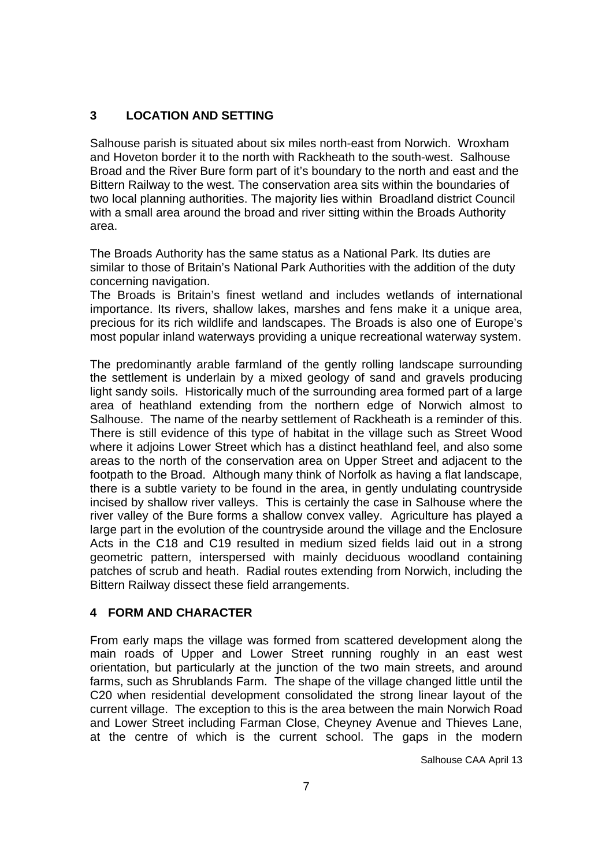# **3 LOCATION AND SETTING**

Salhouse parish is situated about six miles north-east from Norwich. Wroxham and Hoveton border it to the north with Rackheath to the south-west. Salhouse Broad and the River Bure form part of it's boundary to the north and east and the Bittern Railway to the west. The conservation area sits within the boundaries of two local planning authorities. The majority lies within Broadland district Council with a small area around the broad and river sitting within the Broads Authority area.

The Broads Authority has the same status as a National Park. Its duties are similar to those of Britain's National Park Authorities with the addition of the duty concerning navigation.

The Broads is Britain's finest wetland and includes wetlands of international importance. Its rivers, shallow lakes, marshes and fens make it a unique area, precious for its rich wildlife and landscapes. The Broads is also one of Europe's most popular inland waterways providing a unique recreational waterway system.

The predominantly arable farmland of the gently rolling landscape surrounding the settlement is underlain by a mixed geology of sand and gravels producing light sandy soils. Historically much of the surrounding area formed part of a large area of heathland extending from the northern edge of Norwich almost to Salhouse. The name of the nearby settlement of Rackheath is a reminder of this. There is still evidence of this type of habitat in the village such as Street Wood where it adjoins Lower Street which has a distinct heathland feel, and also some areas to the north of the conservation area on Upper Street and adjacent to the footpath to the Broad. Although many think of Norfolk as having a flat landscape, there is a subtle variety to be found in the area, in gently undulating countryside incised by shallow river valleys. This is certainly the case in Salhouse where the river valley of the Bure forms a shallow convex valley. Agriculture has played a large part in the evolution of the countryside around the village and the Enclosure Acts in the C18 and C19 resulted in medium sized fields laid out in a strong geometric pattern, interspersed with mainly deciduous woodland containing patches of scrub and heath. Radial routes extending from Norwich, including the Bittern Railway dissect these field arrangements.

# **4 FORM AND CHARACTER**

From early maps the village was formed from scattered development along the main roads of Upper and Lower Street running roughly in an east west orientation, but particularly at the junction of the two main streets, and around farms, such as Shrublands Farm. The shape of the village changed little until the C20 when residential development consolidated the strong linear layout of the current village. The exception to this is the area between the main Norwich Road and Lower Street including Farman Close, Cheyney Avenue and Thieves Lane, at the centre of which is the current school. The gaps in the modern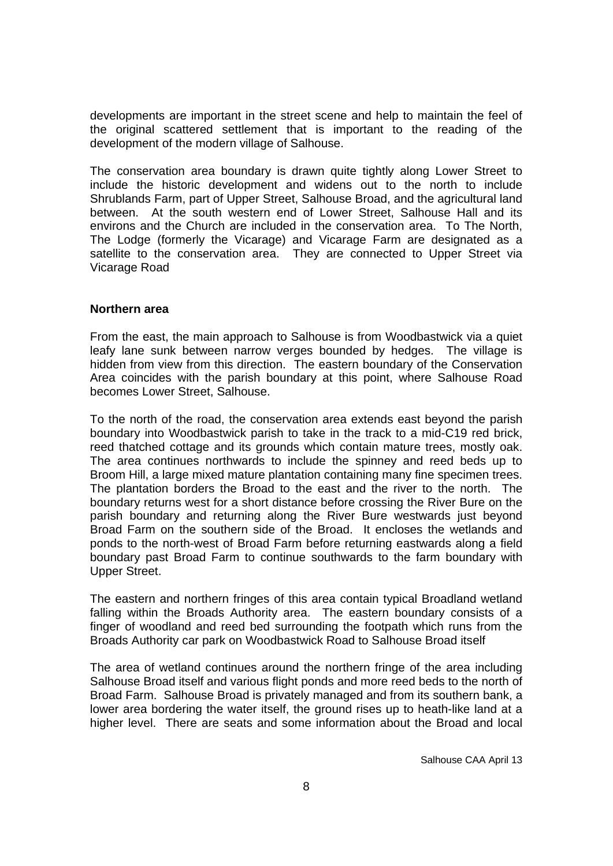developments are important in the street scene and help to maintain the feel of the original scattered settlement that is important to the reading of the development of the modern village of Salhouse.

The conservation area boundary is drawn quite tightly along Lower Street to include the historic development and widens out to the north to include Shrublands Farm, part of Upper Street, Salhouse Broad, and the agricultural land between. At the south western end of Lower Street, Salhouse Hall and its environs and the Church are included in the conservation area. To The North, The Lodge (formerly the Vicarage) and Vicarage Farm are designated as a satellite to the conservation area. They are connected to Upper Street via Vicarage Road

#### **Northern area**

From the east, the main approach to Salhouse is from Woodbastwick via a quiet leafy lane sunk between narrow verges bounded by hedges. The village is hidden from view from this direction. The eastern boundary of the Conservation Area coincides with the parish boundary at this point, where Salhouse Road becomes Lower Street, Salhouse.

To the north of the road, the conservation area extends east beyond the parish boundary into Woodbastwick parish to take in the track to a mid-C19 red brick, reed thatched cottage and its grounds which contain mature trees, mostly oak. The area continues northwards to include the spinney and reed beds up to Broom Hill, a large mixed mature plantation containing many fine specimen trees. The plantation borders the Broad to the east and the river to the north. The boundary returns west for a short distance before crossing the River Bure on the parish boundary and returning along the River Bure westwards just beyond Broad Farm on the southern side of the Broad. It encloses the wetlands and ponds to the north-west of Broad Farm before returning eastwards along a field boundary past Broad Farm to continue southwards to the farm boundary with Upper Street.

The eastern and northern fringes of this area contain typical Broadland wetland falling within the Broads Authority area. The eastern boundary consists of a finger of woodland and reed bed surrounding the footpath which runs from the Broads Authority car park on Woodbastwick Road to Salhouse Broad itself

The area of wetland continues around the northern fringe of the area including Salhouse Broad itself and various flight ponds and more reed beds to the north of Broad Farm. Salhouse Broad is privately managed and from its southern bank, a lower area bordering the water itself, the ground rises up to heath-like land at a higher level. There are seats and some information about the Broad and local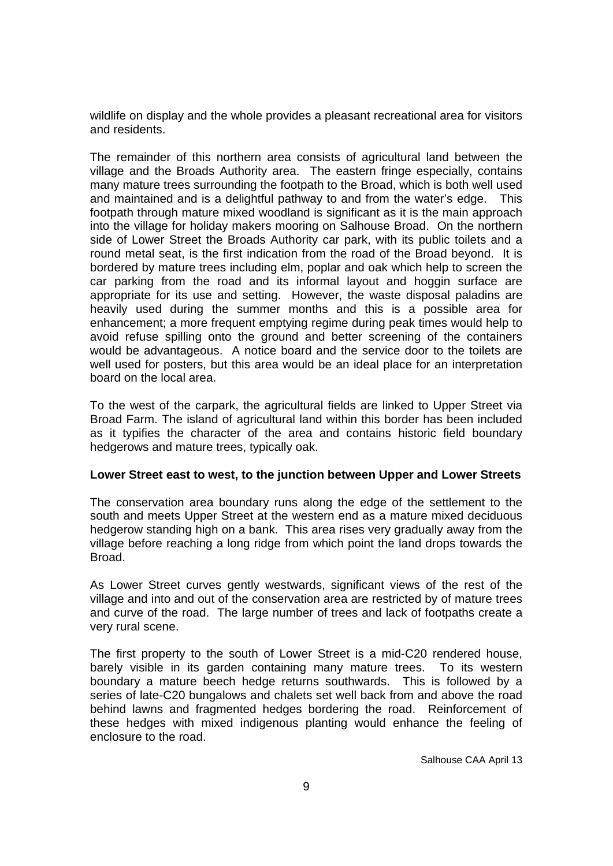wildlife on display and the whole provides a pleasant recreational area for visitors and residents.

The remainder of this northern area consists of agricultural land between the village and the Broads Authority area. The eastern fringe especially, contains many mature trees surrounding the footpath to the Broad, which is both well used and maintained and is a delightful pathway to and from the water's edge. This footpath through mature mixed woodland is significant as it is the main approach into the village for holiday makers mooring on Salhouse Broad. On the northern side of Lower Street the Broads Authority car park, with its public toilets and a round metal seat, is the first indication from the road of the Broad beyond. It is bordered by mature trees including elm, poplar and oak which help to screen the car parking from the road and its informal layout and hoggin surface are appropriate for its use and setting. However, the waste disposal paladins are heavily used during the summer months and this is a possible area for enhancement; a more frequent emptying regime during peak times would help to avoid refuse spilling onto the ground and better screening of the containers would be advantageous. A notice board and the service door to the toilets are well used for posters, but this area would be an ideal place for an interpretation board on the local area.

To the west of the carpark, the agricultural fields are linked to Upper Street via Broad Farm. The island of agricultural land within this border has been included as it typifies the character of the area and contains historic field boundary hedgerows and mature trees, typically oak.

#### **Lower Street east to west, to the junction between Upper and Lower Streets**

The conservation area boundary runs along the edge of the settlement to the south and meets Upper Street at the western end as a mature mixed deciduous hedgerow standing high on a bank. This area rises very gradually away from the village before reaching a long ridge from which point the land drops towards the Broad.

As Lower Street curves gently westwards, significant views of the rest of the village and into and out of the conservation area are restricted by of mature trees and curve of the road. The large number of trees and lack of footpaths create a very rural scene.

The first property to the south of Lower Street is a mid-C20 rendered house, barely visible in its garden containing many mature trees. To its western boundary a mature beech hedge returns southwards. This is followed by a series of late-C20 bungalows and chalets set well back from and above the road behind lawns and fragmented hedges bordering the road. Reinforcement of these hedges with mixed indigenous planting would enhance the feeling of enclosure to the road.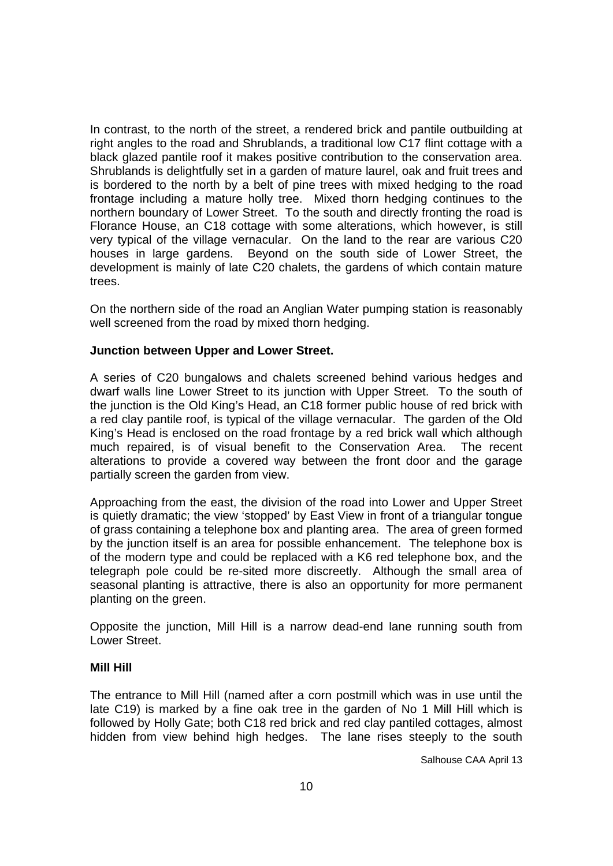In contrast, to the north of the street, a rendered brick and pantile outbuilding at right angles to the road and Shrublands, a traditional low C17 flint cottage with a black glazed pantile roof it makes positive contribution to the conservation area. Shrublands is delightfully set in a garden of mature laurel, oak and fruit trees and is bordered to the north by a belt of pine trees with mixed hedging to the road frontage including a mature holly tree. Mixed thorn hedging continues to the northern boundary of Lower Street. To the south and directly fronting the road is Florance House, an C18 cottage with some alterations, which however, is still very typical of the village vernacular. On the land to the rear are various C20 houses in large gardens. Beyond on the south side of Lower Street, the development is mainly of late C20 chalets, the gardens of which contain mature trees.

On the northern side of the road an Anglian Water pumping station is reasonably well screened from the road by mixed thorn hedging.

#### **Junction between Upper and Lower Street.**

A series of C20 bungalows and chalets screened behind various hedges and dwarf walls line Lower Street to its junction with Upper Street. To the south of the junction is the Old King's Head, an C18 former public house of red brick with a red clay pantile roof, is typical of the village vernacular. The garden of the Old King's Head is enclosed on the road frontage by a red brick wall which although much repaired, is of visual benefit to the Conservation Area. The recent alterations to provide a covered way between the front door and the garage partially screen the garden from view.

Approaching from the east, the division of the road into Lower and Upper Street is quietly dramatic; the view 'stopped' by East View in front of a triangular tongue of grass containing a telephone box and planting area. The area of green formed by the junction itself is an area for possible enhancement. The telephone box is of the modern type and could be replaced with a K6 red telephone box, and the telegraph pole could be re-sited more discreetly. Although the small area of seasonal planting is attractive, there is also an opportunity for more permanent planting on the green.

Opposite the junction, Mill Hill is a narrow dead-end lane running south from Lower Street.

#### **Mill Hill**

The entrance to Mill Hill (named after a corn postmill which was in use until the late C19) is marked by a fine oak tree in the garden of No 1 Mill Hill which is followed by Holly Gate; both C18 red brick and red clay pantiled cottages, almost hidden from view behind high hedges. The lane rises steeply to the south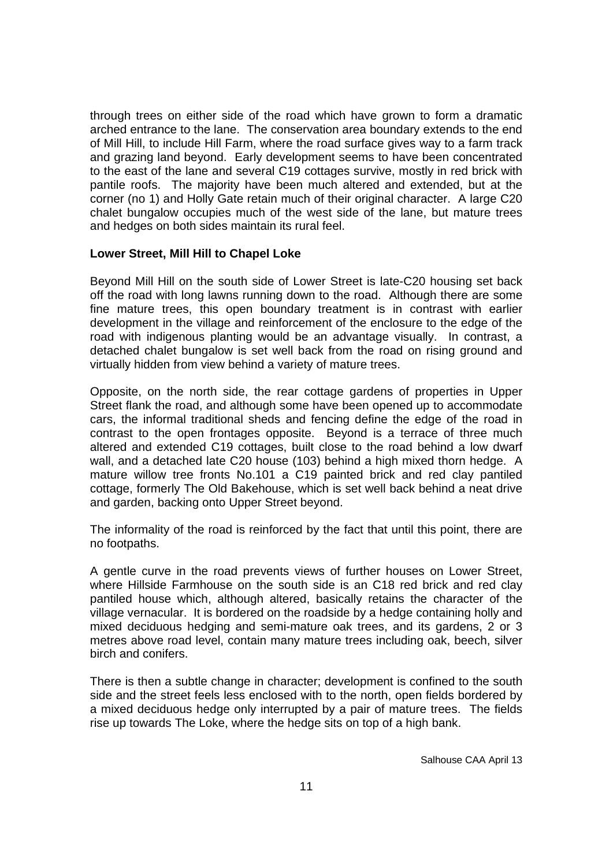through trees on either side of the road which have grown to form a dramatic arched entrance to the lane. The conservation area boundary extends to the end of Mill Hill, to include Hill Farm, where the road surface gives way to a farm track and grazing land beyond. Early development seems to have been concentrated to the east of the lane and several C19 cottages survive, mostly in red brick with pantile roofs. The majority have been much altered and extended, but at the corner (no 1) and Holly Gate retain much of their original character. A large C20 chalet bungalow occupies much of the west side of the lane, but mature trees and hedges on both sides maintain its rural feel.

#### **Lower Street, Mill Hill to Chapel Loke**

Beyond Mill Hill on the south side of Lower Street is late-C20 housing set back off the road with long lawns running down to the road. Although there are some fine mature trees, this open boundary treatment is in contrast with earlier development in the village and reinforcement of the enclosure to the edge of the road with indigenous planting would be an advantage visually. In contrast, a detached chalet bungalow is set well back from the road on rising ground and virtually hidden from view behind a variety of mature trees.

Opposite, on the north side, the rear cottage gardens of properties in Upper Street flank the road, and although some have been opened up to accommodate cars, the informal traditional sheds and fencing define the edge of the road in contrast to the open frontages opposite. Beyond is a terrace of three much altered and extended C19 cottages, built close to the road behind a low dwarf wall, and a detached late C20 house (103) behind a high mixed thorn hedge. A mature willow tree fronts No.101 a C19 painted brick and red clay pantiled cottage, formerly The Old Bakehouse, which is set well back behind a neat drive and garden, backing onto Upper Street beyond.

The informality of the road is reinforced by the fact that until this point, there are no footpaths.

A gentle curve in the road prevents views of further houses on Lower Street, where Hillside Farmhouse on the south side is an C18 red brick and red clay pantiled house which, although altered, basically retains the character of the village vernacular. It is bordered on the roadside by a hedge containing holly and mixed deciduous hedging and semi-mature oak trees, and its gardens, 2 or 3 metres above road level, contain many mature trees including oak, beech, silver birch and conifers.

There is then a subtle change in character; development is confined to the south side and the street feels less enclosed with to the north, open fields bordered by a mixed deciduous hedge only interrupted by a pair of mature trees. The fields rise up towards The Loke, where the hedge sits on top of a high bank.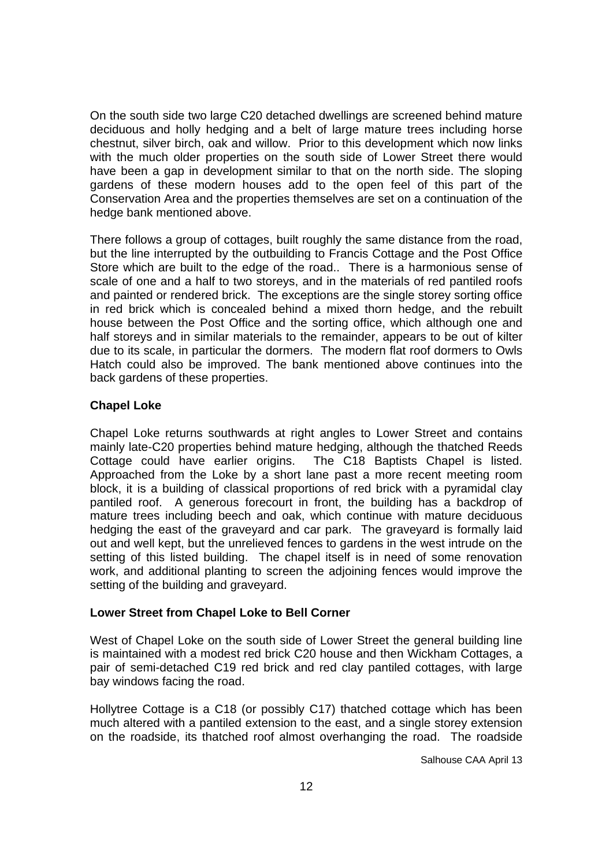On the south side two large C20 detached dwellings are screened behind mature deciduous and holly hedging and a belt of large mature trees including horse chestnut, silver birch, oak and willow. Prior to this development which now links with the much older properties on the south side of Lower Street there would have been a gap in development similar to that on the north side. The sloping gardens of these modern houses add to the open feel of this part of the Conservation Area and the properties themselves are set on a continuation of the hedge bank mentioned above.

There follows a group of cottages, built roughly the same distance from the road, but the line interrupted by the outbuilding to Francis Cottage and the Post Office Store which are built to the edge of the road.. There is a harmonious sense of scale of one and a half to two storeys, and in the materials of red pantiled roofs and painted or rendered brick. The exceptions are the single storey sorting office in red brick which is concealed behind a mixed thorn hedge, and the rebuilt house between the Post Office and the sorting office, which although one and half storeys and in similar materials to the remainder, appears to be out of kilter due to its scale, in particular the dormers. The modern flat roof dormers to Owls Hatch could also be improved. The bank mentioned above continues into the back gardens of these properties.

## **Chapel Loke**

Chapel Loke returns southwards at right angles to Lower Street and contains mainly late-C20 properties behind mature hedging, although the thatched Reeds Cottage could have earlier origins. The C18 Baptists Chapel is listed. Approached from the Loke by a short lane past a more recent meeting room block, it is a building of classical proportions of red brick with a pyramidal clay pantiled roof. A generous forecourt in front, the building has a backdrop of mature trees including beech and oak, which continue with mature deciduous hedging the east of the graveyard and car park. The graveyard is formally laid out and well kept, but the unrelieved fences to gardens in the west intrude on the setting of this listed building. The chapel itself is in need of some renovation work, and additional planting to screen the adjoining fences would improve the setting of the building and graveyard.

#### **Lower Street from Chapel Loke to Bell Corner**

West of Chapel Loke on the south side of Lower Street the general building line is maintained with a modest red brick C20 house and then Wickham Cottages, a pair of semi-detached C19 red brick and red clay pantiled cottages, with large bay windows facing the road.

Hollytree Cottage is a C18 (or possibly C17) thatched cottage which has been much altered with a pantiled extension to the east, and a single storey extension on the roadside, its thatched roof almost overhanging the road. The roadside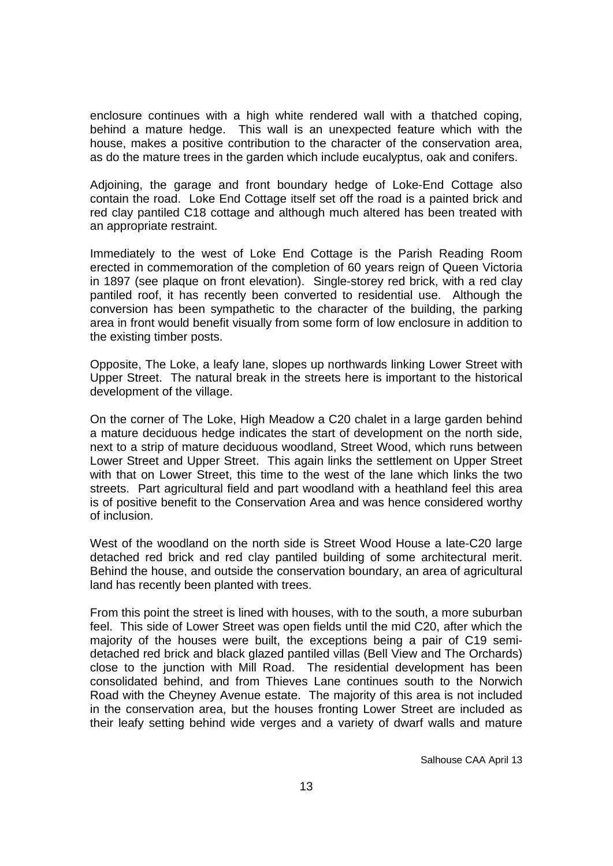enclosure continues with a high white rendered wall with a thatched coping, behind a mature hedge. This wall is an unexpected feature which with the house, makes a positive contribution to the character of the conservation area, as do the mature trees in the garden which include eucalyptus, oak and conifers.

Adjoining, the garage and front boundary hedge of Loke-End Cottage also contain the road. Loke End Cottage itself set off the road is a painted brick and red clay pantiled C18 cottage and although much altered has been treated with an appropriate restraint.

Immediately to the west of Loke End Cottage is the Parish Reading Room erected in commemoration of the completion of 60 years reign of Queen Victoria in 1897 (see plaque on front elevation). Single-storey red brick, with a red clay pantiled roof, it has recently been converted to residential use. Although the conversion has been sympathetic to the character of the building, the parking area in front would benefit visually from some form of low enclosure in addition to the existing timber posts.

Opposite, The Loke, a leafy lane, slopes up northwards linking Lower Street with Upper Street. The natural break in the streets here is important to the historical development of the village.

On the corner of The Loke, High Meadow a C20 chalet in a large garden behind a mature deciduous hedge indicates the start of development on the north side, next to a strip of mature deciduous woodland, Street Wood, which runs between Lower Street and Upper Street. This again links the settlement on Upper Street with that on Lower Street, this time to the west of the lane which links the two streets. Part agricultural field and part woodland with a heathland feel this area is of positive benefit to the Conservation Area and was hence considered worthy of inclusion.

West of the woodland on the north side is Street Wood House a late-C20 large detached red brick and red clay pantiled building of some architectural merit. Behind the house, and outside the conservation boundary, an area of agricultural land has recently been planted with trees.

From this point the street is lined with houses, with to the south, a more suburban feel. This side of Lower Street was open fields until the mid C20, after which the majority of the houses were built, the exceptions being a pair of C19 semidetached red brick and black glazed pantiled villas (Bell View and The Orchards) close to the junction with Mill Road. The residential development has been consolidated behind, and from Thieves Lane continues south to the Norwich Road with the Cheyney Avenue estate. The majority of this area is not included in the conservation area, but the houses fronting Lower Street are included as their leafy setting behind wide verges and a variety of dwarf walls and mature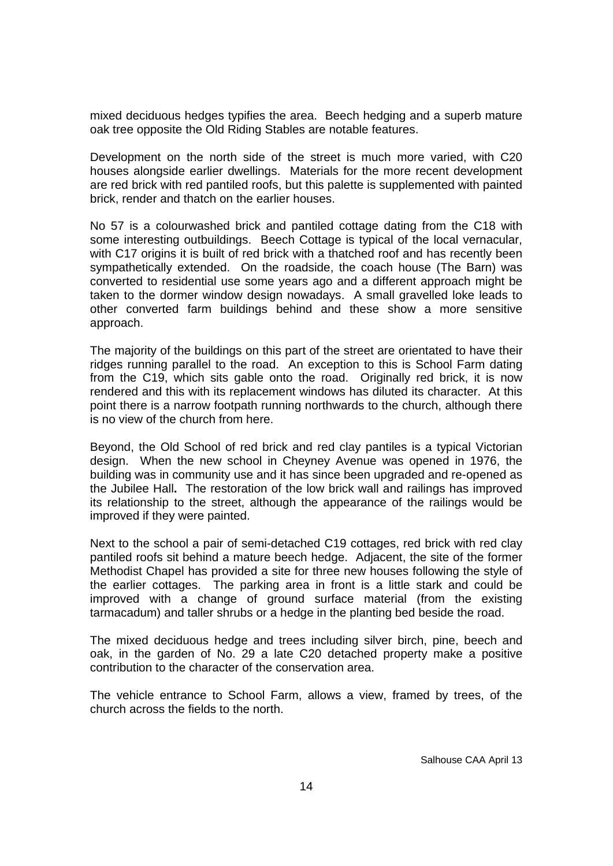mixed deciduous hedges typifies the area. Beech hedging and a superb mature oak tree opposite the Old Riding Stables are notable features.

Development on the north side of the street is much more varied, with C20 houses alongside earlier dwellings. Materials for the more recent development are red brick with red pantiled roofs, but this palette is supplemented with painted brick, render and thatch on the earlier houses.

No 57 is a colourwashed brick and pantiled cottage dating from the C18 with some interesting outbuildings. Beech Cottage is typical of the local vernacular, with C17 origins it is built of red brick with a thatched roof and has recently been sympathetically extended. On the roadside, the coach house (The Barn) was converted to residential use some years ago and a different approach might be taken to the dormer window design nowadays. A small gravelled loke leads to other converted farm buildings behind and these show a more sensitive approach.

The majority of the buildings on this part of the street are orientated to have their ridges running parallel to the road. An exception to this is School Farm dating from the C19, which sits gable onto the road. Originally red brick, it is now rendered and this with its replacement windows has diluted its character. At this point there is a narrow footpath running northwards to the church, although there is no view of the church from here.

Beyond, the Old School of red brick and red clay pantiles is a typical Victorian design. When the new school in Cheyney Avenue was opened in 1976, the building was in community use and it has since been upgraded and re-opened as the Jubilee Hall**.** The restoration of the low brick wall and railings has improved its relationship to the street, although the appearance of the railings would be improved if they were painted.

Next to the school a pair of semi-detached C19 cottages, red brick with red clay pantiled roofs sit behind a mature beech hedge. Adjacent, the site of the former Methodist Chapel has provided a site for three new houses following the style of the earlier cottages. The parking area in front is a little stark and could be improved with a change of ground surface material (from the existing tarmacadum) and taller shrubs or a hedge in the planting bed beside the road.

The mixed deciduous hedge and trees including silver birch, pine, beech and oak, in the garden of No. 29 a late C20 detached property make a positive contribution to the character of the conservation area.

The vehicle entrance to School Farm, allows a view, framed by trees, of the church across the fields to the north.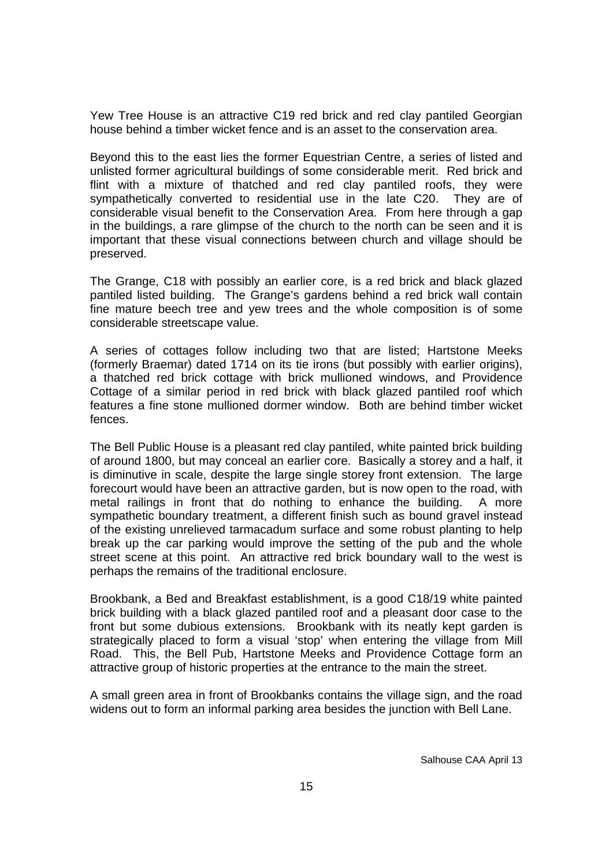Yew Tree House is an attractive C19 red brick and red clay pantiled Georgian house behind a timber wicket fence and is an asset to the conservation area.

Beyond this to the east lies the former Equestrian Centre, a series of listed and unlisted former agricultural buildings of some considerable merit. Red brick and flint with a mixture of thatched and red clay pantiled roofs, they were sympathetically converted to residential use in the late C20. They are of considerable visual benefit to the Conservation Area. From here through a gap in the buildings, a rare glimpse of the church to the north can be seen and it is important that these visual connections between church and village should be preserved.

The Grange, C18 with possibly an earlier core, is a red brick and black glazed pantiled listed building. The Grange's gardens behind a red brick wall contain fine mature beech tree and yew trees and the whole composition is of some considerable streetscape value.

A series of cottages follow including two that are listed; Hartstone Meeks (formerly Braemar) dated 1714 on its tie irons (but possibly with earlier origins), a thatched red brick cottage with brick mullioned windows, and Providence Cottage of a similar period in red brick with black glazed pantiled roof which features a fine stone mullioned dormer window. Both are behind timber wicket fences.

The Bell Public House is a pleasant red clay pantiled, white painted brick building of around 1800, but may conceal an earlier core. Basically a storey and a half, it is diminutive in scale, despite the large single storey front extension. The large forecourt would have been an attractive garden, but is now open to the road, with metal railings in front that do nothing to enhance the building. A more sympathetic boundary treatment, a different finish such as bound gravel instead of the existing unrelieved tarmacadum surface and some robust planting to help break up the car parking would improve the setting of the pub and the whole street scene at this point. An attractive red brick boundary wall to the west is perhaps the remains of the traditional enclosure.

Brookbank, a Bed and Breakfast establishment, is a good C18/19 white painted brick building with a black glazed pantiled roof and a pleasant door case to the front but some dubious extensions. Brookbank with its neatly kept garden is strategically placed to form a visual 'stop' when entering the village from Mill Road. This, the Bell Pub, Hartstone Meeks and Providence Cottage form an attractive group of historic properties at the entrance to the main the street.

A small green area in front of Brookbanks contains the village sign, and the road widens out to form an informal parking area besides the junction with Bell Lane.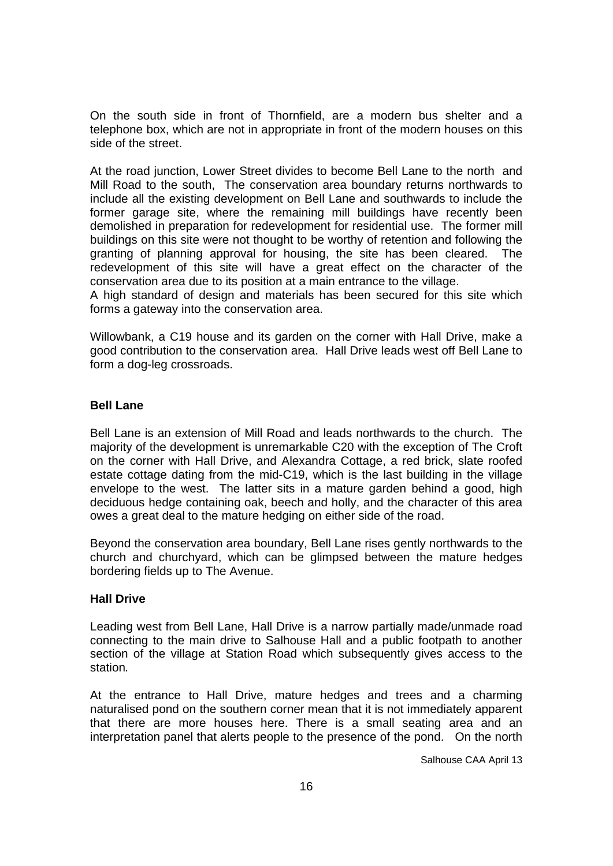On the south side in front of Thornfield, are a modern bus shelter and a telephone box, which are not in appropriate in front of the modern houses on this side of the street.

At the road junction, Lower Street divides to become Bell Lane to the north and Mill Road to the south, The conservation area boundary returns northwards to include all the existing development on Bell Lane and southwards to include the former garage site, where the remaining mill buildings have recently been demolished in preparation for redevelopment for residential use. The former mill buildings on this site were not thought to be worthy of retention and following the granting of planning approval for housing, the site has been cleared. The redevelopment of this site will have a great effect on the character of the conservation area due to its position at a main entrance to the village.

A high standard of design and materials has been secured for this site which forms a gateway into the conservation area.

Willowbank, a C19 house and its garden on the corner with Hall Drive, make a good contribution to the conservation area. Hall Drive leads west off Bell Lane to form a dog-leg crossroads.

## **Bell Lane**

Bell Lane is an extension of Mill Road and leads northwards to the church. The majority of the development is unremarkable C20 with the exception of The Croft on the corner with Hall Drive, and Alexandra Cottage, a red brick, slate roofed estate cottage dating from the mid-C19, which is the last building in the village envelope to the west. The latter sits in a mature garden behind a good, high deciduous hedge containing oak, beech and holly, and the character of this area owes a great deal to the mature hedging on either side of the road.

Beyond the conservation area boundary, Bell Lane rises gently northwards to the church and churchyard, which can be glimpsed between the mature hedges bordering fields up to The Avenue.

#### **Hall Drive**

Leading west from Bell Lane, Hall Drive is a narrow partially made/unmade road connecting to the main drive to Salhouse Hall and a public footpath to another section of the village at Station Road which subsequently gives access to the station*.* 

At the entrance to Hall Drive, mature hedges and trees and a charming naturalised pond on the southern corner mean that it is not immediately apparent that there are more houses here. There is a small seating area and an interpretation panel that alerts people to the presence of the pond. On the north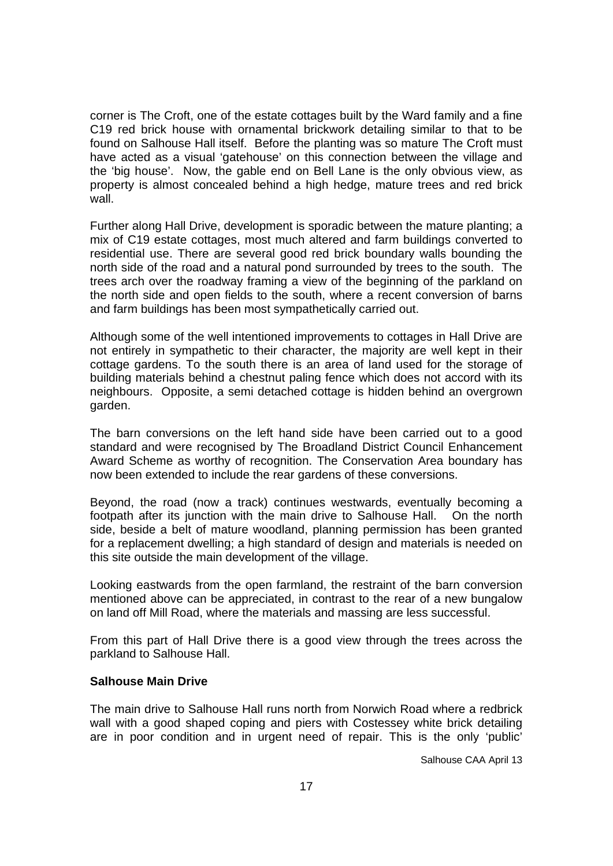corner is The Croft, one of the estate cottages built by the Ward family and a fine C19 red brick house with ornamental brickwork detailing similar to that to be found on Salhouse Hall itself. Before the planting was so mature The Croft must have acted as a visual 'gatehouse' on this connection between the village and the 'big house'. Now, the gable end on Bell Lane is the only obvious view, as property is almost concealed behind a high hedge, mature trees and red brick wall.

Further along Hall Drive, development is sporadic between the mature planting; a mix of C19 estate cottages, most much altered and farm buildings converted to residential use. There are several good red brick boundary walls bounding the north side of the road and a natural pond surrounded by trees to the south. The trees arch over the roadway framing a view of the beginning of the parkland on the north side and open fields to the south, where a recent conversion of barns and farm buildings has been most sympathetically carried out.

Although some of the well intentioned improvements to cottages in Hall Drive are not entirely in sympathetic to their character, the majority are well kept in their cottage gardens. To the south there is an area of land used for the storage of building materials behind a chestnut paling fence which does not accord with its neighbours. Opposite, a semi detached cottage is hidden behind an overgrown garden.

The barn conversions on the left hand side have been carried out to a good standard and were recognised by The Broadland District Council Enhancement Award Scheme as worthy of recognition. The Conservation Area boundary has now been extended to include the rear gardens of these conversions.

Beyond, the road (now a track) continues westwards, eventually becoming a footpath after its junction with the main drive to Salhouse Hall. On the north side, beside a belt of mature woodland, planning permission has been granted for a replacement dwelling; a high standard of design and materials is needed on this site outside the main development of the village.

Looking eastwards from the open farmland, the restraint of the barn conversion mentioned above can be appreciated, in contrast to the rear of a new bungalow on land off Mill Road, where the materials and massing are less successful.

From this part of Hall Drive there is a good view through the trees across the parkland to Salhouse Hall.

#### **Salhouse Main Drive**

The main drive to Salhouse Hall runs north from Norwich Road where a redbrick wall with a good shaped coping and piers with Costessey white brick detailing are in poor condition and in urgent need of repair. This is the only 'public'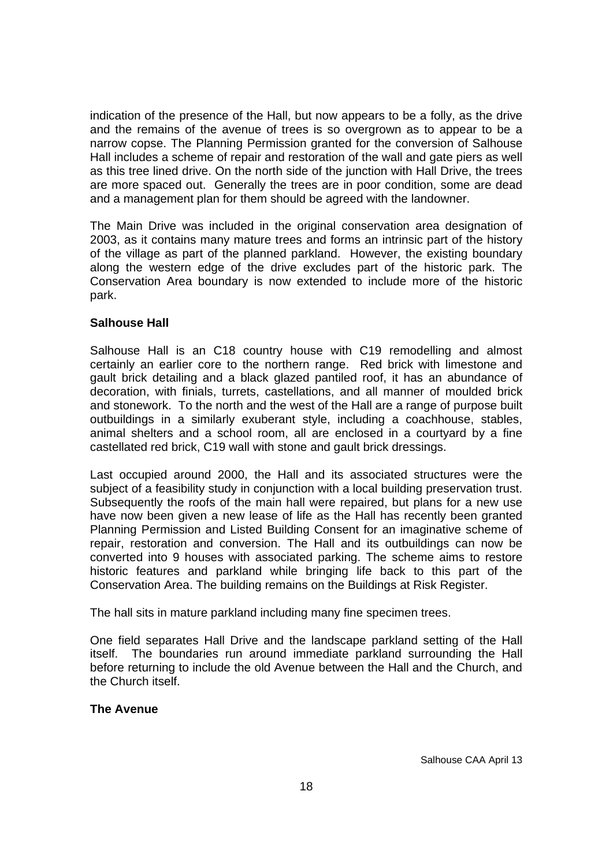indication of the presence of the Hall, but now appears to be a folly, as the drive and the remains of the avenue of trees is so overgrown as to appear to be a narrow copse. The Planning Permission granted for the conversion of Salhouse Hall includes a scheme of repair and restoration of the wall and gate piers as well as this tree lined drive. On the north side of the junction with Hall Drive, the trees are more spaced out. Generally the trees are in poor condition, some are dead and a management plan for them should be agreed with the landowner.

The Main Drive was included in the original conservation area designation of 2003, as it contains many mature trees and forms an intrinsic part of the history of the village as part of the planned parkland. However, the existing boundary along the western edge of the drive excludes part of the historic park. The Conservation Area boundary is now extended to include more of the historic park.

# **Salhouse Hall**

Salhouse Hall is an C18 country house with C19 remodelling and almost certainly an earlier core to the northern range. Red brick with limestone and gault brick detailing and a black glazed pantiled roof, it has an abundance of decoration, with finials, turrets, castellations, and all manner of moulded brick and stonework. To the north and the west of the Hall are a range of purpose built outbuildings in a similarly exuberant style, including a coachhouse, stables, animal shelters and a school room, all are enclosed in a courtyard by a fine castellated red brick, C19 wall with stone and gault brick dressings.

Last occupied around 2000, the Hall and its associated structures were the subject of a feasibility study in conjunction with a local building preservation trust. Subsequently the roofs of the main hall were repaired, but plans for a new use have now been given a new lease of life as the Hall has recently been granted Planning Permission and Listed Building Consent for an imaginative scheme of repair, restoration and conversion. The Hall and its outbuildings can now be converted into 9 houses with associated parking. The scheme aims to restore historic features and parkland while bringing life back to this part of the Conservation Area. The building remains on the Buildings at Risk Register.

The hall sits in mature parkland including many fine specimen trees.

One field separates Hall Drive and the landscape parkland setting of the Hall itself. The boundaries run around immediate parkland surrounding the Hall before returning to include the old Avenue between the Hall and the Church, and the Church itself.

#### **The Avenue**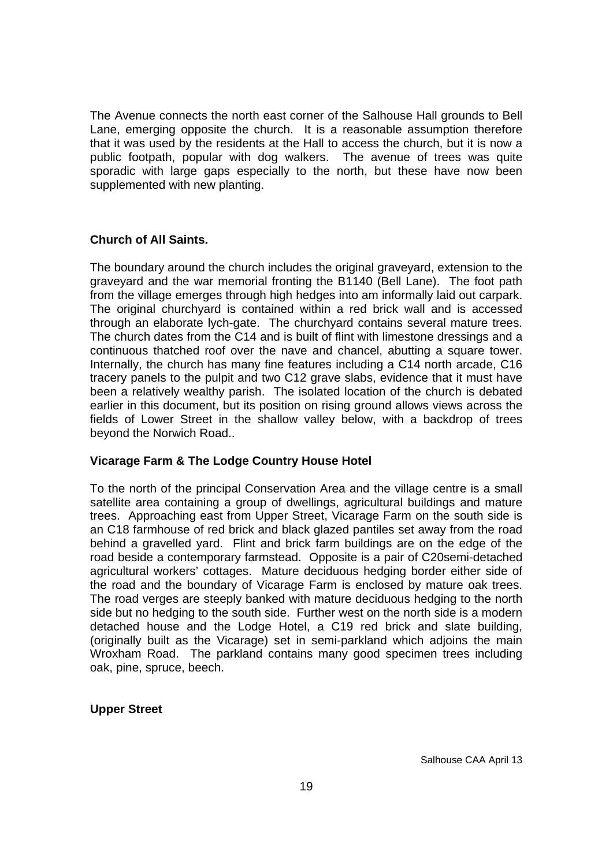The Avenue connects the north east corner of the Salhouse Hall grounds to Bell Lane, emerging opposite the church. It is a reasonable assumption therefore that it was used by the residents at the Hall to access the church, but it is now a public footpath, popular with dog walkers. The avenue of trees was quite sporadic with large gaps especially to the north, but these have now been supplemented with new planting.

## **Church of All Saints.**

The boundary around the church includes the original graveyard, extension to the graveyard and the war memorial fronting the B1140 (Bell Lane). The foot path from the village emerges through high hedges into am informally laid out carpark. The original churchyard is contained within a red brick wall and is accessed through an elaborate lych-gate. The churchyard contains several mature trees. The church dates from the C14 and is built of flint with limestone dressings and a continuous thatched roof over the nave and chancel, abutting a square tower. Internally, the church has many fine features including a C14 north arcade, C16 tracery panels to the pulpit and two C12 grave slabs, evidence that it must have been a relatively wealthy parish. The isolated location of the church is debated earlier in this document, but its position on rising ground allows views across the fields of Lower Street in the shallow valley below, with a backdrop of trees beyond the Norwich Road..

#### **Vicarage Farm & The Lodge Country House Hotel**

To the north of the principal Conservation Area and the village centre is a small satellite area containing a group of dwellings, agricultural buildings and mature trees. Approaching east from Upper Street, Vicarage Farm on the south side is an C18 farmhouse of red brick and black glazed pantiles set away from the road behind a gravelled yard. Flint and brick farm buildings are on the edge of the road beside a contemporary farmstead. Opposite is a pair of C20semi-detached agricultural workers' cottages. Mature deciduous hedging border either side of the road and the boundary of Vicarage Farm is enclosed by mature oak trees. The road verges are steeply banked with mature deciduous hedging to the north side but no hedging to the south side. Further west on the north side is a modern detached house and the Lodge Hotel, a C19 red brick and slate building, (originally built as the Vicarage) set in semi-parkland which adjoins the main Wroxham Road. The parkland contains many good specimen trees including oak, pine, spruce, beech.

#### **Upper Street**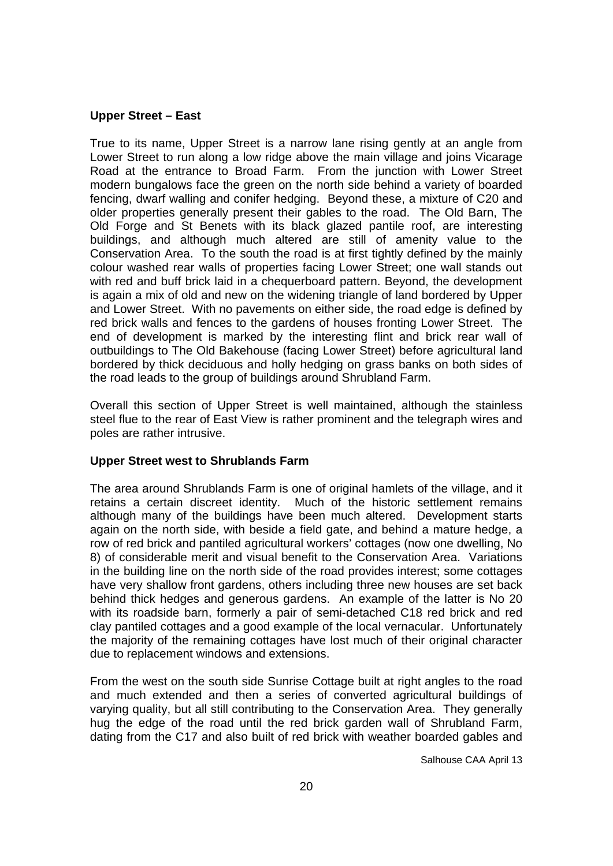## **Upper Street – East**

True to its name, Upper Street is a narrow lane rising gently at an angle from Lower Street to run along a low ridge above the main village and joins Vicarage Road at the entrance to Broad Farm. From the junction with Lower Street modern bungalows face the green on the north side behind a variety of boarded fencing, dwarf walling and conifer hedging. Beyond these, a mixture of C20 and older properties generally present their gables to the road. The Old Barn, The Old Forge and St Benets with its black glazed pantile roof, are interesting buildings, and although much altered are still of amenity value to the Conservation Area. To the south the road is at first tightly defined by the mainly colour washed rear walls of properties facing Lower Street; one wall stands out with red and buff brick laid in a chequerboard pattern. Beyond, the development is again a mix of old and new on the widening triangle of land bordered by Upper and Lower Street. With no pavements on either side, the road edge is defined by red brick walls and fences to the gardens of houses fronting Lower Street. The end of development is marked by the interesting flint and brick rear wall of outbuildings to The Old Bakehouse (facing Lower Street) before agricultural land bordered by thick deciduous and holly hedging on grass banks on both sides of the road leads to the group of buildings around Shrubland Farm.

Overall this section of Upper Street is well maintained, although the stainless steel flue to the rear of East View is rather prominent and the telegraph wires and poles are rather intrusive.

#### **Upper Street west to Shrublands Farm**

The area around Shrublands Farm is one of original hamlets of the village, and it retains a certain discreet identity. Much of the historic settlement remains although many of the buildings have been much altered. Development starts again on the north side, with beside a field gate, and behind a mature hedge, a row of red brick and pantiled agricultural workers' cottages (now one dwelling, No 8) of considerable merit and visual benefit to the Conservation Area. Variations in the building line on the north side of the road provides interest; some cottages have very shallow front gardens, others including three new houses are set back behind thick hedges and generous gardens. An example of the latter is No 20 with its roadside barn, formerly a pair of semi-detached C18 red brick and red clay pantiled cottages and a good example of the local vernacular. Unfortunately the majority of the remaining cottages have lost much of their original character due to replacement windows and extensions.

From the west on the south side Sunrise Cottage built at right angles to the road and much extended and then a series of converted agricultural buildings of varying quality, but all still contributing to the Conservation Area. They generally hug the edge of the road until the red brick garden wall of Shrubland Farm, dating from the C17 and also built of red brick with weather boarded gables and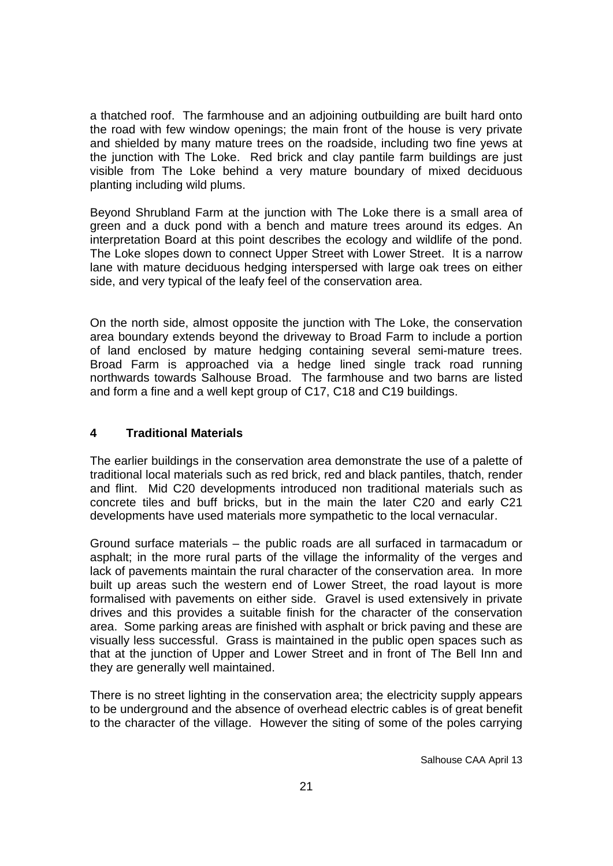a thatched roof. The farmhouse and an adjoining outbuilding are built hard onto the road with few window openings; the main front of the house is very private and shielded by many mature trees on the roadside, including two fine yews at the junction with The Loke. Red brick and clay pantile farm buildings are just visible from The Loke behind a very mature boundary of mixed deciduous planting including wild plums.

Beyond Shrubland Farm at the junction with The Loke there is a small area of green and a duck pond with a bench and mature trees around its edges. An interpretation Board at this point describes the ecology and wildlife of the pond. The Loke slopes down to connect Upper Street with Lower Street. It is a narrow lane with mature deciduous hedging interspersed with large oak trees on either side, and very typical of the leafy feel of the conservation area.

On the north side, almost opposite the junction with The Loke, the conservation area boundary extends beyond the driveway to Broad Farm to include a portion of land enclosed by mature hedging containing several semi-mature trees. Broad Farm is approached via a hedge lined single track road running northwards towards Salhouse Broad. The farmhouse and two barns are listed and form a fine and a well kept group of C17, C18 and C19 buildings.

# **4 Traditional Materials**

The earlier buildings in the conservation area demonstrate the use of a palette of traditional local materials such as red brick, red and black pantiles, thatch, render and flint. Mid C20 developments introduced non traditional materials such as concrete tiles and buff bricks, but in the main the later C20 and early C21 developments have used materials more sympathetic to the local vernacular.

Ground surface materials – the public roads are all surfaced in tarmacadum or asphalt; in the more rural parts of the village the informality of the verges and lack of pavements maintain the rural character of the conservation area. In more built up areas such the western end of Lower Street, the road layout is more formalised with pavements on either side. Gravel is used extensively in private drives and this provides a suitable finish for the character of the conservation area. Some parking areas are finished with asphalt or brick paving and these are visually less successful. Grass is maintained in the public open spaces such as that at the junction of Upper and Lower Street and in front of The Bell Inn and they are generally well maintained.

There is no street lighting in the conservation area; the electricity supply appears to be underground and the absence of overhead electric cables is of great benefit to the character of the village. However the siting of some of the poles carrying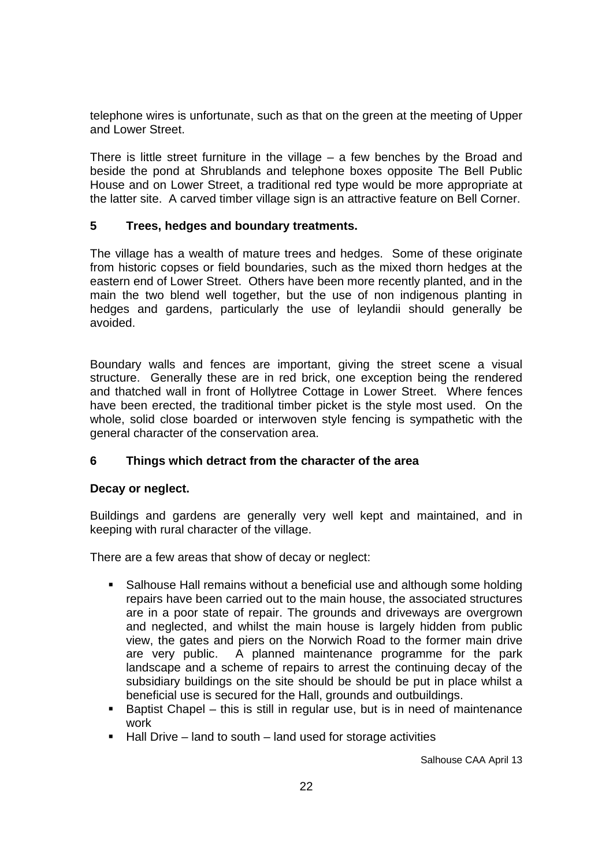telephone wires is unfortunate, such as that on the green at the meeting of Upper and Lower Street.

There is little street furniture in the village  $-$  a few benches by the Broad and beside the pond at Shrublands and telephone boxes opposite The Bell Public House and on Lower Street, a traditional red type would be more appropriate at the latter site. A carved timber village sign is an attractive feature on Bell Corner.

## **5 Trees, hedges and boundary treatments.**

The village has a wealth of mature trees and hedges. Some of these originate from historic copses or field boundaries, such as the mixed thorn hedges at the eastern end of Lower Street. Others have been more recently planted, and in the main the two blend well together, but the use of non indigenous planting in hedges and gardens, particularly the use of leylandii should generally be avoided.

Boundary walls and fences are important, giving the street scene a visual structure. Generally these are in red brick, one exception being the rendered and thatched wall in front of Hollytree Cottage in Lower Street. Where fences have been erected, the traditional timber picket is the style most used. On the whole, solid close boarded or interwoven style fencing is sympathetic with the general character of the conservation area.

#### **6 Things which detract from the character of the area**

#### **Decay or neglect.**

Buildings and gardens are generally very well kept and maintained, and in keeping with rural character of the village.

There are a few areas that show of decay or neglect:

- Salhouse Hall remains without a beneficial use and although some holding repairs have been carried out to the main house, the associated structures are in a poor state of repair. The grounds and driveways are overgrown and neglected, and whilst the main house is largely hidden from public view, the gates and piers on the Norwich Road to the former main drive are very public. A planned maintenance programme for the park landscape and a scheme of repairs to arrest the continuing decay of the subsidiary buildings on the site should be should be put in place whilst a beneficial use is secured for the Hall, grounds and outbuildings.
- Baptist Chapel this is still in regular use, but is in need of maintenance work
- $\blacksquare$  Hall Drive land to south land used for storage activities